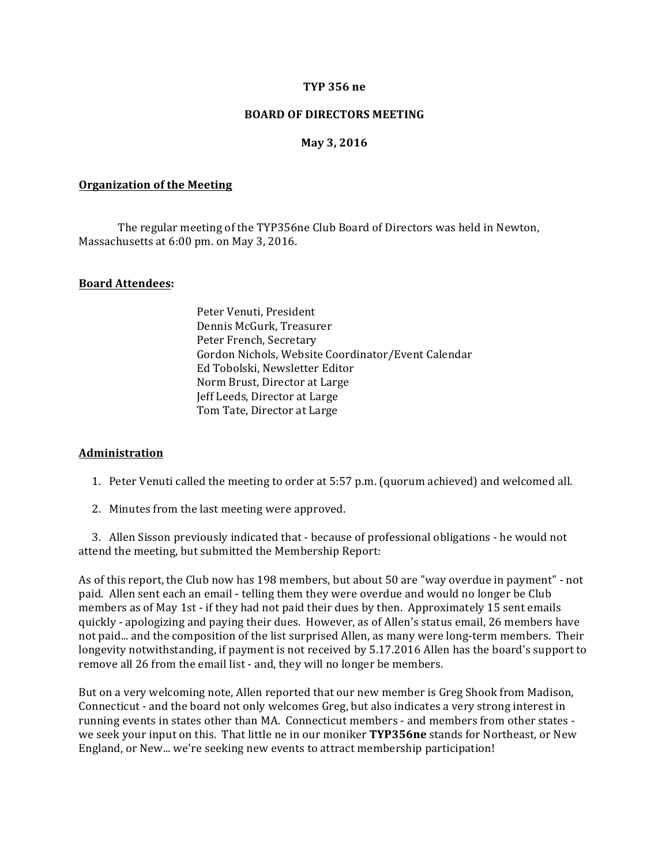#### **TYP 356 ne**

#### **BOARD OF DIRECTORS MEETING**

### **May 3, 2016**

#### **Organization of the Meeting**

The regular meeting of the TYP356ne Club Board of Directors was held in Newton, Massachusetts at 6:00 pm. on May 3, 2016.

### **Board Attendees:**

Peter Venuti, President Dennis McGurk, Treasurer Peter French, Secretary Gordon Nichols, Website Coordinator/Event Calendar Ed Tobolski, Newsletter Editor Norm Brust, Director at Large Jeff Leeds, Director at Large Tom Tate, Director at Large

#### **Administration**

1. Peter Venuti called the meeting to order at 5:57 p.m. (quorum achieved) and welcomed all.

2. Minutes from the last meeting were approved.

3. Allen Sisson previously indicated that - because of professional obligations - he would not attend the meeting, but submitted the Membership Report:

As of this report, the Club now has 198 members, but about 50 are "way overdue in payment" - not paid. Allen sent each an email - telling them they were overdue and would no longer be Club members as of May 1st - if they had not paid their dues by then. Approximately 15 sent emails quickly - apologizing and paying their dues. However, as of Allen's status email, 26 members have not paid... and the composition of the list surprised Allen, as many were long-term members. Their longevity notwithstanding, if payment is not received by 5.17.2016 Allen has the board's support to remove all 26 from the email list - and, they will no longer be members.

But on a very welcoming note, Allen reported that our new member is Greg Shook from Madison, Connecticut - and the board not only welcomes Greg, but also indicates a very strong interest in running events in states other than MA. Connecticut members - and members from other states we seek your input on this. That little ne in our moniker **TYP356ne** stands for Northeast, or New England, or New... we're seeking new events to attract membership participation!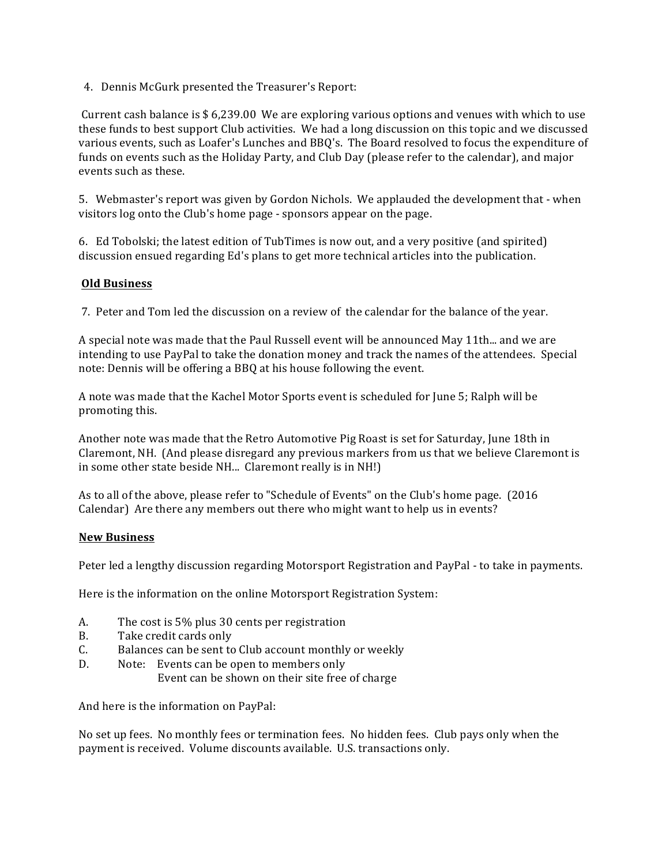4. Dennis McGurk presented the Treasurer's Report:

Current cash balance is  $$6,239.00$  We are exploring various options and venues with which to use these funds to best support Club activities. We had a long discussion on this topic and we discussed various events, such as Loafer's Lunches and BBQ's. The Board resolved to focus the expenditure of funds on events such as the Holiday Party, and Club Day (please refer to the calendar), and major events such as these.

5. Webmaster's report was given by Gordon Nichols. We applauded the development that - when visitors log onto the Club's home page - sponsors appear on the page.

6. Ed Tobolski; the latest edition of TubTimes is now out, and a very positive (and spirited) discussion ensued regarding Ed's plans to get more technical articles into the publication.

# **Old Business**

7. Peter and Tom led the discussion on a review of the calendar for the balance of the year.

A special note was made that the Paul Russell event will be announced May 11th... and we are intending to use PayPal to take the donation money and track the names of the attendees. Special note: Dennis will be offering a BBQ at his house following the event.

A note was made that the Kachel Motor Sports event is scheduled for June 5; Ralph will be promoting this.

Another note was made that the Retro Automotive Pig Roast is set for Saturday, June 18th in Claremont, NH. (And please disregard any previous markers from us that we believe Claremont is in some other state beside NH... Claremont really is in NH!)

As to all of the above, please refer to "Schedule of Events" on the Club's home page. (2016) Calendar) Are there any members out there who might want to help us in events?

### **New Business**

Peter led a lengthy discussion regarding Motorsport Registration and PayPal - to take in payments.

Here is the information on the online Motorsport Registration System:

- A. The cost is 5% plus 30 cents per registration
- B. Take credit cards only
- C. Balances can be sent to Club account monthly or weekly
- D. Note: Events can be open to members only
	- Event can be shown on their site free of charge

And here is the information on PayPal:

No set up fees. No monthly fees or termination fees. No hidden fees. Club pays only when the payment is received. Volume discounts available. U.S. transactions only.